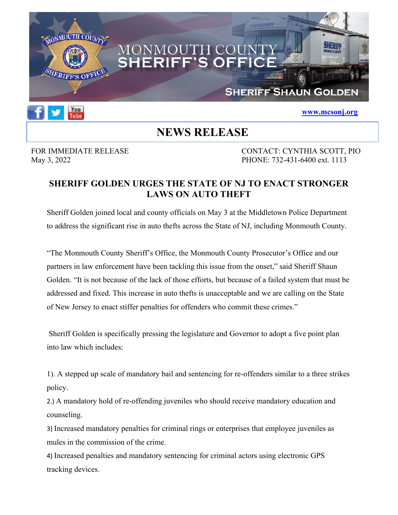



## **NEWS RELEASE**

FOR IMMEDIATE RELEASE CONTACT: CYNTHIA SCOTT, PIO May 3, 2022 PHONE: 732-431-6400 ext. 1113

**www.mcsonj.org**

## **SHERIFF GOLDEN URGES THE STATE OF NJ TO ENACT STRONGER LAWS ON AUTO THEFT**

Sheriff Golden joined local and county officials on May 3 at the Middletown Police Department to address the significant rise in auto thefts across the State of NJ, including Monmouth County.

"The Monmouth County Sheriff's Office, the Monmouth County Prosecutor's Office and our partners in law enforcement have been tackling this issue from the onset," said Sheriff Shaun Golden. "It is not because of the lack of those efforts, but because of a failed system that must be addressed and fixed. This increase in auto thefts is unacceptable and we are calling on the State of New Jersey to enact stiffer penalties for offenders who commit these crimes."

 Sheriff Golden is specifically pressing the legislature and Governor to adopt a five point plan into law which includes:

1). A stepped up scale of mandatory bail and sentencing for re-offenders similar to a three strikes policy.

2.) A mandatory hold of re-offending juveniles who should receive mandatory education and counseling.

3) Increased mandatory penalties for criminal rings or enterprises that employee juveniles as mules in the commission of the crime.

4) Increased penalties and mandatory sentencing for criminal actors using electronic GPS tracking devices.